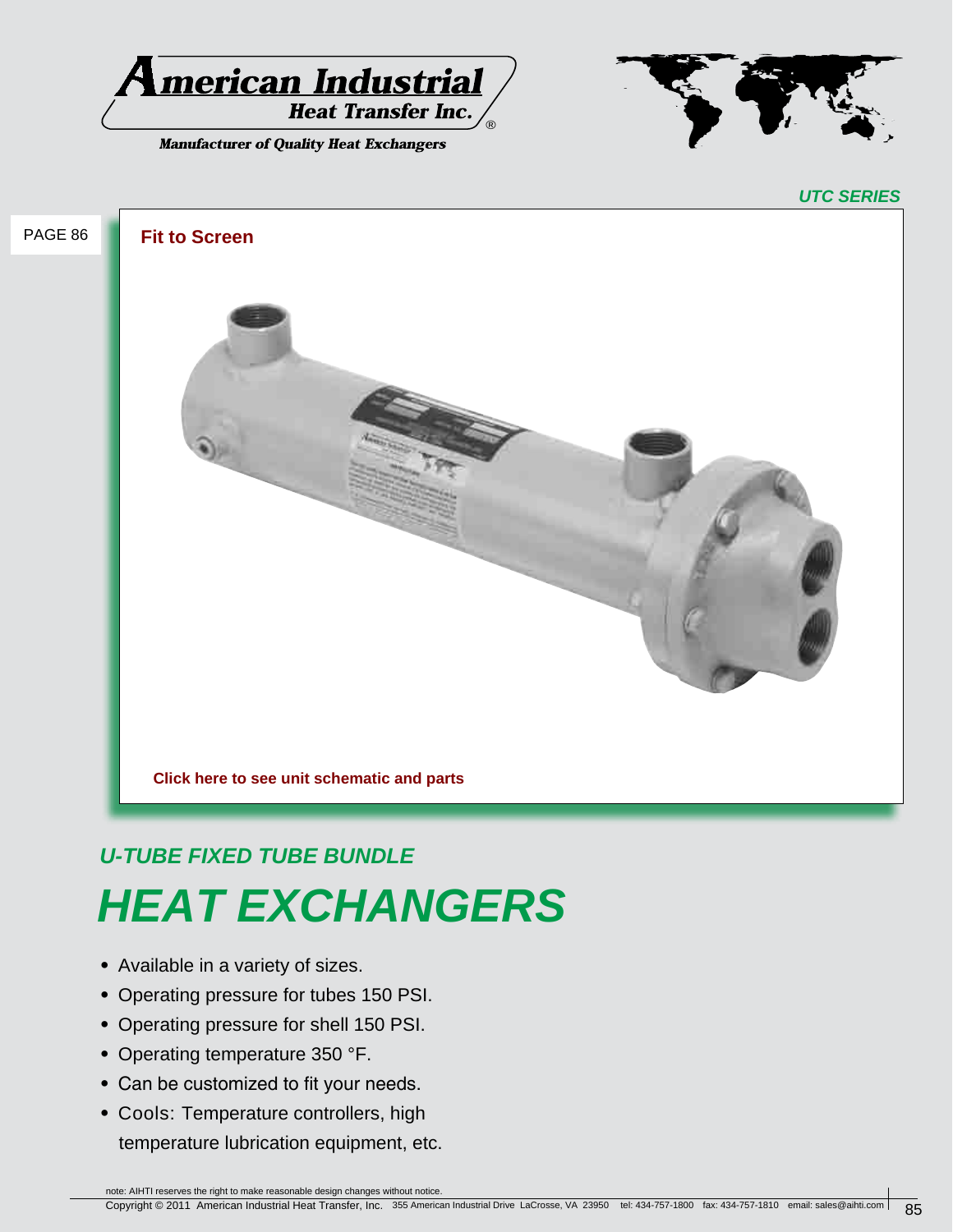

**Manufacturer of Quality Heat Exchangers** 



# *U-TUBE FIXED TUBE BUNDLE HEAT EXCHANGERS*

- **•** Available in a variety of sizes.
- **•** Operating pressure for tubes 150 PSI.
- **•** Operating pressure for shell 150 PSI.
- **•** Operating temperature 350 °F.
- **•** Can be customized to fit your needs.
- **•** Cools: Temperature controllers, high temperature lubrication equipment, etc.

note: AIHTI reserves the right to make reasonable design changes without notice.